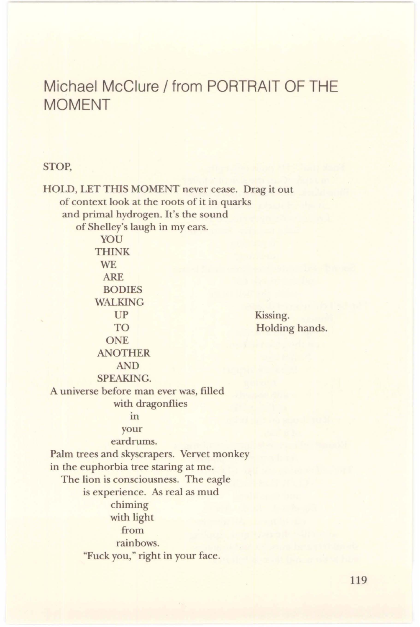## **Michael McClure/ from PORTRAIT OF THE MOMENT**

## STOP,

HOLD, LET THIS MOMENT never cease. Drag it out of context look at the roots of it in quarks and primal hydrogen. It's the sound of Shelley's laugh in my ears. YOU THINK W<sub>E</sub> ARE BODIES WALKING UP TO ONE ANOTHER AND SPEAKING. A universe before man ever was, filled with dragonflies m your eardrums. Palm trees and skyscrapers. Vervet monkey in the euphorbia tree staring at me. The lion is consciousness. The eagle is experience. As real as mud chiming with light from rainbows. "Fuck you," right in your face. Kissing. Holding hands.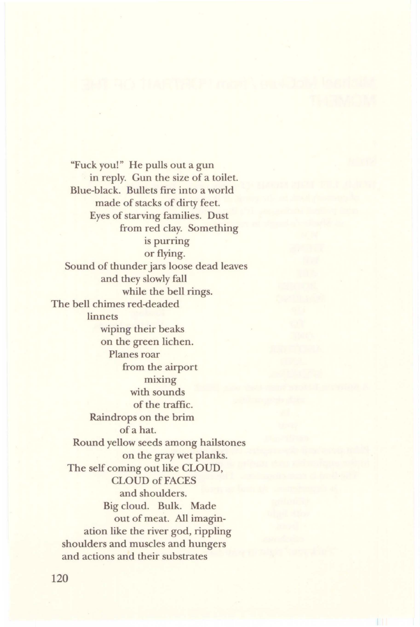"Fuck you!" He pulls out a gun in reply. Gun the size of a toilet. Blue-black. Bullets fire into a world made of stacks of dirty feet. Eyes of starving families. Dust from red clay. Something is purring or flying. Sound of thunder jars loose dead leaves and they slowly fall while the bell rings. The bell chimes red-deaded linnets wiping their beaks on the green lichen. Planes roar from the airport mixing with sounds of the traffic. Raindrops on the brim of a hat. Round yellow seeds among hailstones on the gray wet planks. The self coming out like CLOUD, CLOUD of FACES and shoulders. Big cloud. Bulk. Made out of meat. All imagination like the river god, rippling shoulders and muscles and hungers and actions and their substrates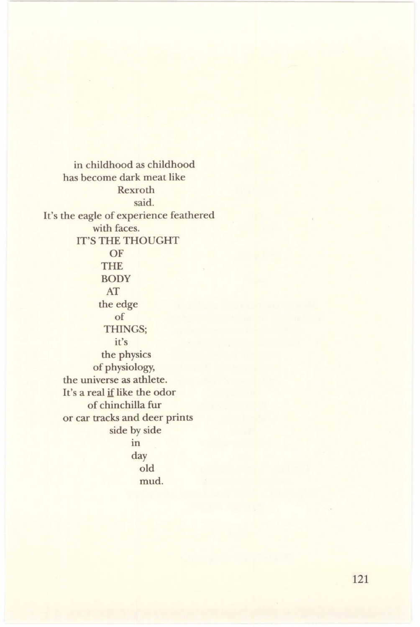in childhood as childhood has become dark meat like Rexroth said. It's the eagle of experience feathered with faces. IT'S THE THOUGHT OF THE **BODY** AT the edge of THINGS; it's the physics of physiology, the universe as athlete. It's a real if like the odor of chinchilla fur or car tracks and deer prints side by side in day old mud.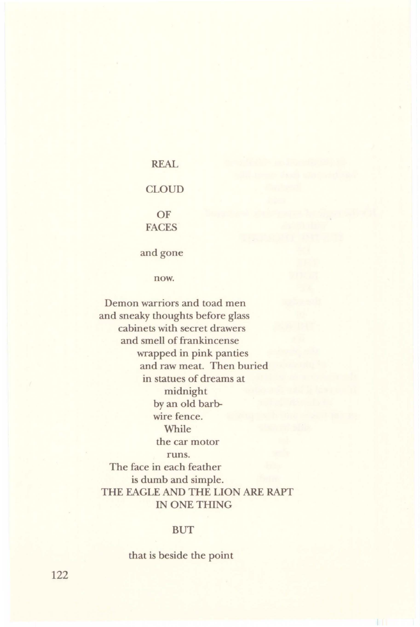# REAL **CLOUD** OF FACES

and gone

now.

Demon warriors and toad men and sneaky thoughts before glass cabinets with secret drawers and smell of frankincense wrapped in pink panties and raw meat. Then buried in statues of dreams at midnight by an old barbwire fence. While the car motor runs. The face in each feather is dumb and simple. THE EAGLE AND THE LION ARE RAPT IN ONE THING

#### BUT

that is beside the point

122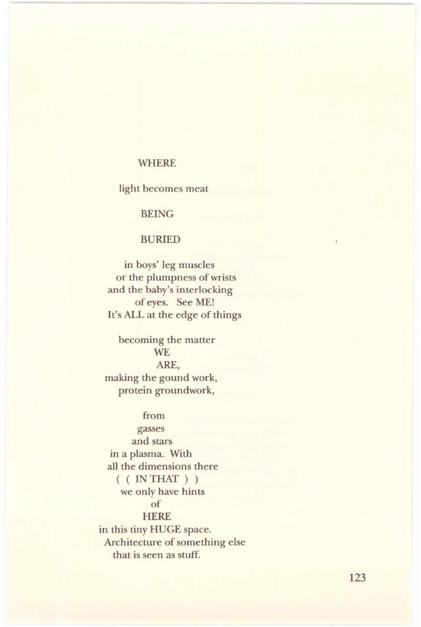## WHERE

light becomes meat

BEING

### BURIED

in boys' leg muscles or the plumpness of wrists and the baby's interlocking of eyes. See ME! It's ALL at the edge of things

becoming the matter **WE** ARE, making the gound work, protein groundwork,

#### from

gasses and stars in a plasma. With all the dimensions there  $($  (  $INTHAT$  ) ) we only have hints of **HERE** in this tiny HUGE space. Architecture of something else that is seen as stuff.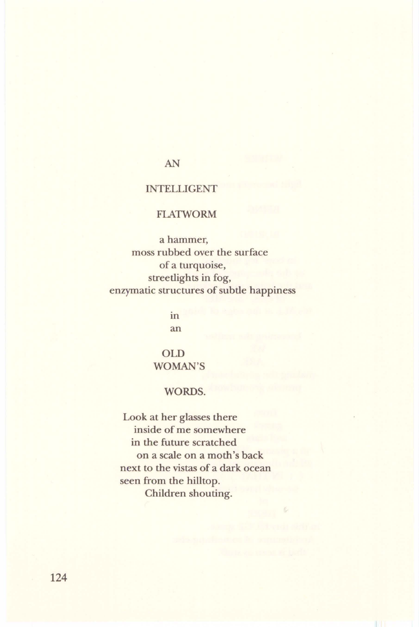## AN

## INTELLIGENT

## FLATWORM

a hammer, moss rubbed over the surface of a turquoise, streetlights in fog, enzymatic structures of subtle happiness

> in an

OLD WOMAN'S

## WORDS.

Look at her glasses there inside of me somewhere in the future scratched on a scale on a moth's back next to the vistas of a dark ocean seen from the hilltop. Children shouting.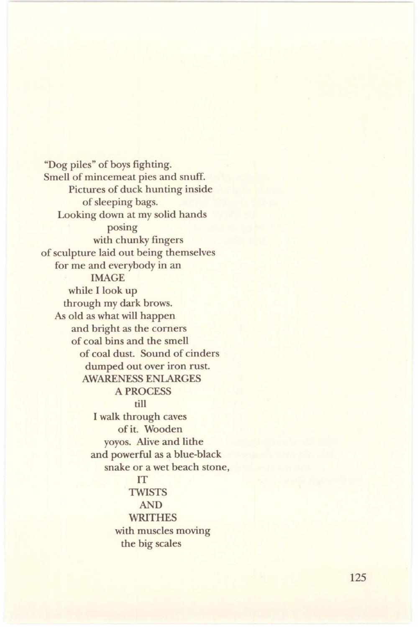"Dog piles" of boys fighting. Smell of mincemeat pies and snuff. Pictures of duck hunting inside of sleeping bags. Looking down at my solid hands posing with chunky fingers of sculpture laid out being themselves for me and everybody in an IMAGE while I look up through my dark brows. As old as what will happen and bright as the corners of coal bins and the smell of coal dust. Sound of cinders dumped out over iron rust. AWARENESS ENLARGES A PROCESS till I walk through caves of it. Wooden yoyos. Alive and lithe and powerful as a blue-black snake or a wet beach stone, IT TWISTS AND WRITHES with muscles moving the big scales